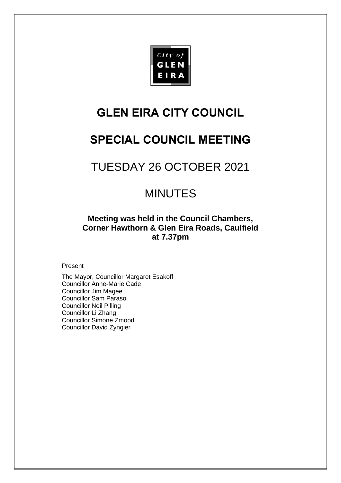

# **GLEN EIRA CITY COUNCIL**

# **SPECIAL COUNCIL MEETING**

# TUESDAY 26 OCTOBER 2021

# MINUTES

**Meeting was held in the Council Chambers, Corner Hawthorn & Glen Eira Roads, Caulfield at 7.37pm**

#### **Present**

The Mayor, Councillor Margaret Esakoff Councillor Anne-Marie Cade Councillor Jim Magee Councillor Sam Parasol Councillor Neil Pilling Councillor Li Zhang Councillor Simone Zmood Councillor David Zyngier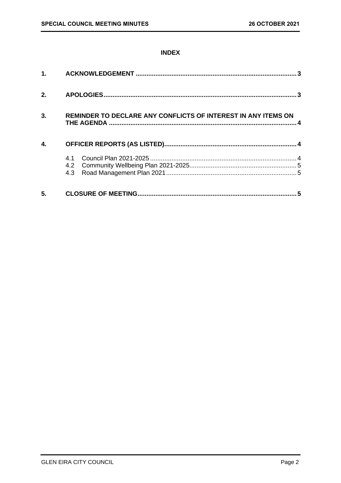### **INDEX**

| 1 <sub>1</sub> |                                                               |
|----------------|---------------------------------------------------------------|
| 2.             |                                                               |
| 3.             | REMINDER TO DECLARE ANY CONFLICTS OF INTEREST IN ANY ITEMS ON |
| 4.             |                                                               |
|                | 4.1<br>4.3                                                    |
| 5.             | 5                                                             |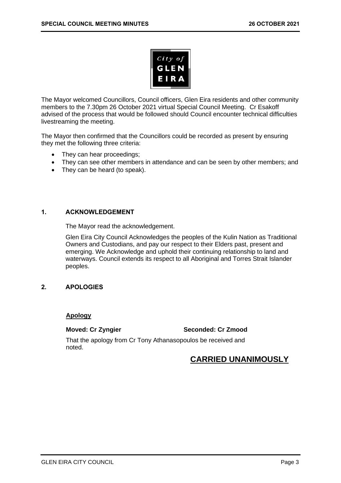

The Mayor welcomed Councillors, Council officers, Glen Eira residents and other community members to the 7.30pm 26 October 2021 virtual Special Council Meeting. Cr Esakoff advised of the process that would be followed should Council encounter technical difficulties livestreaming the meeting.

The Mayor then confirmed that the Councillors could be recorded as present by ensuring they met the following three criteria:

- They can hear proceedings;
- They can see other members in attendance and can be seen by other members; and
- They can be heard (to speak).

#### <span id="page-2-0"></span>**1. ACKNOWLEDGEMENT**

The Mayor read the acknowledgement.

Glen Eira City Council Acknowledges the peoples of the Kulin Nation as Traditional Owners and Custodians, and pay our respect to their Elders past, present and emerging. We Acknowledge and uphold their continuing relationship to land and waterways. Council extends its respect to all Aboriginal and Torres Strait Islander peoples.

#### <span id="page-2-1"></span>**2. APOLOGIES**

#### **Apology**

**Moved: Cr Zyngier Seconded: Cr Zmood**

That the apology from Cr Tony Athanasopoulos be received and noted.

# **CARRIED UNANIMOUSLY**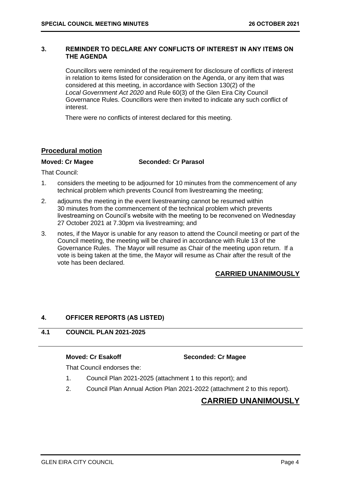#### <span id="page-3-2"></span><span id="page-3-0"></span>**3. REMINDER TO DECLARE ANY CONFLICTS OF INTEREST IN ANY ITEMS ON THE AGENDA**

Councillors were reminded of the requirement for disclosure of conflicts of interest in relation to items listed for consideration on the Agenda, or any item that was considered at this meeting, in accordance with Section 130(2) of the *Local Government Act 2020* and Rule 60(3) of the Glen Eira City Council Governance Rules. Councillors were then invited to indicate any such conflict of interest.

There were no conflicts of interest declared for this meeting.

### **Procedural motion**

**Moved: Cr Magee Seconded: Cr Parasol**

That Council:

- 1. considers the meeting to be adjourned for 10 minutes from the commencement of any technical problem which prevents Council from livestreaming the meeting;
- 2. adjourns the meeting in the event livestreaming cannot be resumed within 30 minutes from the commencement of the technical problem which prevents livestreaming on Council's website with the meeting to be reconvened on Wednesday 27 October 2021 at 7.30pm via livestreaming; and
- 3. notes, if the Mayor is unable for any reason to attend the Council meeting or part of the Council meeting, the meeting will be chaired in accordance with Rule 13 of the Governance Rules. The Mayor will resume as Chair of the meeting upon return. If a vote is being taken at the time, the Mayor will resume as Chair after the result of the vote has been declared.

## **CARRIED UNANIMOUSLY**

#### <span id="page-3-1"></span>**4. OFFICER REPORTS (AS LISTED)**

### **4.1 COUNCIL PLAN 2021-2025**

#### **Moved: Cr Esakoff Seconded: Cr Magee**

That Council endorses the:

- 1. Council Plan 2021-2025 (attachment 1 to this report); and
- 2. Council Plan Annual Action Plan 2021-2022 (attachment 2 to this report).

## **CARRIED UNANIMOUSLY**